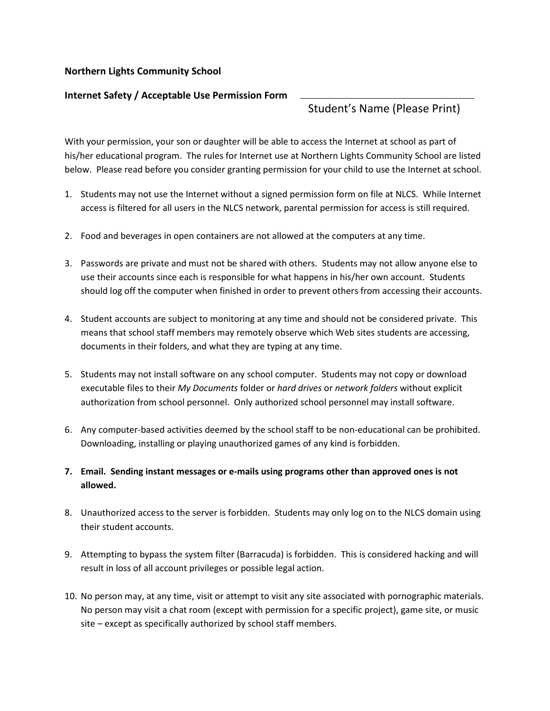## **Northern Lights Community School**

## **Internet Safety / Acceptable Use Permission Form**

## Student's Name (Please Print)

With your permission, your son or daughter will be able to access the Internet at school as part of his/her educational program. The rules for Internet use at Northern Lights Community School are listed below. Please read before you consider granting permission for your child to use the Internet at school.

- 1. Students may not use the Internet without a signed permission form on file at NLCS. While Internet access is filtered for all users in the NLCS network, parental permission for access is still required.
- 2. Food and beverages in open containers are not allowed at the computers at any time.
- 3. Passwords are private and must not be shared with others. Students may not allow anyone else to use their accounts since each is responsible for what happens in his/her own account. Students should log off the computer when finished in order to prevent others from accessing their accounts.
- 4. Student accounts are subject to monitoring at any time and should not be considered private. This means that school staff members may remotely observe which Web sites students are accessing, documents in their folders, and what they are typing at any time.
- 5. Students may not install software on any school computer. Students may not copy or download executable files to their *My Documents* folder or *hard drives* or *network folders* without explicit authorization from school personnel. Only authorized school personnel may install software.
- 6. Any computer-based activities deemed by the school staff to be non-educational can be prohibited. Downloading, installing or playing unauthorized games of any kind is forbidden.
- **7. Email. Sending instant messages or e-mails using programs other than approved ones is not allowed.**
- 8. Unauthorized access to the server is forbidden. Students may only log on to the NLCS domain using their student accounts.
- 9. Attempting to bypass the system filter (Barracuda) is forbidden. This is considered hacking and will result in loss of all account privileges or possible legal action.
- 10. No person may, at any time, visit or attempt to visit any site associated with pornographic materials. No person may visit a chat room (except with permission for a specific project), game site, or music site – except as specifically authorized by school staff members.